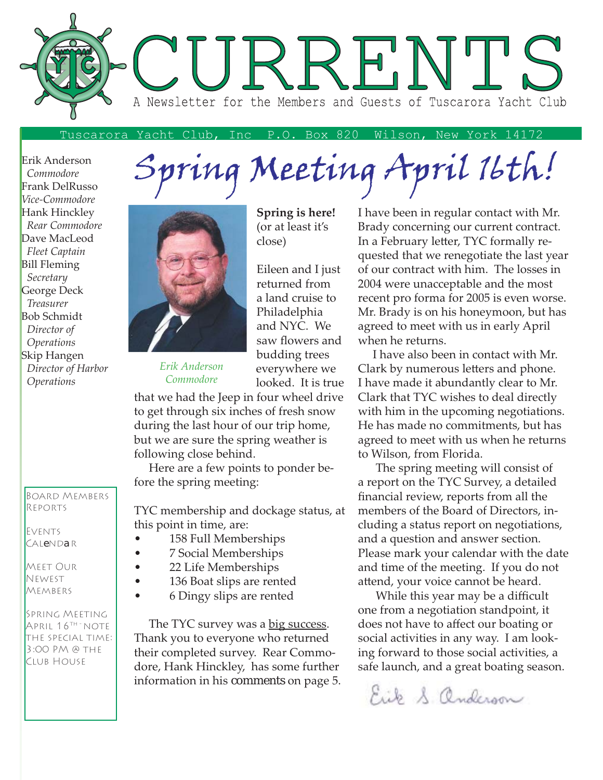

#### Tuscarora Yacht Club, Inc P.O. Box 820 Wilson, New York 14172

Erik Anderson  *Commodore* Frank DelRusso *Vice-Commodore* Hank Hinckley  *Rear Commodore* Dave MacLeod  *Fleet Captain* Bill Fleming  *Secretary* George Deck  *Treasurer* Bob Schmidt  *Director of Operations* Skip Hangen  *Director of Harbor Operations*

### Board MembersReports

Events **CALENDAR** 

Meet Our Newest **MEMBERS** 

Spring MeetingApril 16<sup>th -</sup> note the special time: 3:00 PM @ the Club House

Spring Meeting April 16th!



*Erik Anderson Commodore*

**Spring is here!** (or at least it's close)

Eileen and I just returned from a land cruise to Philadelphia and NYC. We saw flowers and budding trees everywhere we looked. It is true

that we had the Jeep in four wheel drive to get through six inches of fresh snow during the last hour of our trip home, but we are sure the spring weather is following close behind.

 Here are a few points to ponder before the spring meeting:

TYC membership and dockage status, at this point in time, are:

- 158 Full Memberships
- 7 Social Memberships
- 22 Life Memberships
- 136 Boat slips are rented
	- 6 Dingy slips are rented

The TYC survey was a big success. Thank you to everyone who returned their completed survey. Rear Commodore, Hank Hinckley, has some further information in his comments on page 5. I have been in regular contact with Mr. Brady concerning our current contract. In a February letter, TYC formally requested that we renegotiate the last year of our contract with him. The losses in 2004 were unacceptable and the most recent pro forma for 2005 is even worse. Mr. Brady is on his honeymoon, but has agreed to meet with us in early April when he returns.

 I have also been in contact with Mr. Clark by numerous letters and phone. I have made it abundantly clear to Mr. Clark that TYC wishes to deal directly with him in the upcoming negotiations. He has made no commitments, but has agreed to meet with us when he returns to Wilson, from Florida.

 The spring meeting will consist of a report on the TYC Survey, a detailed financial review, reports from all the members of the Board of Directors, including a status report on negotiations, and a question and answer section. Please mark your calendar with the date and time of the meeting. If you do not attend, your voice cannot be heard.

While this year may be a difficult one from a negotiation standpoint, it does not have to affect our boating or social activities in any way. I am looking forward to those social activities, a safe launch, and a great boating season.

Eik S. anderson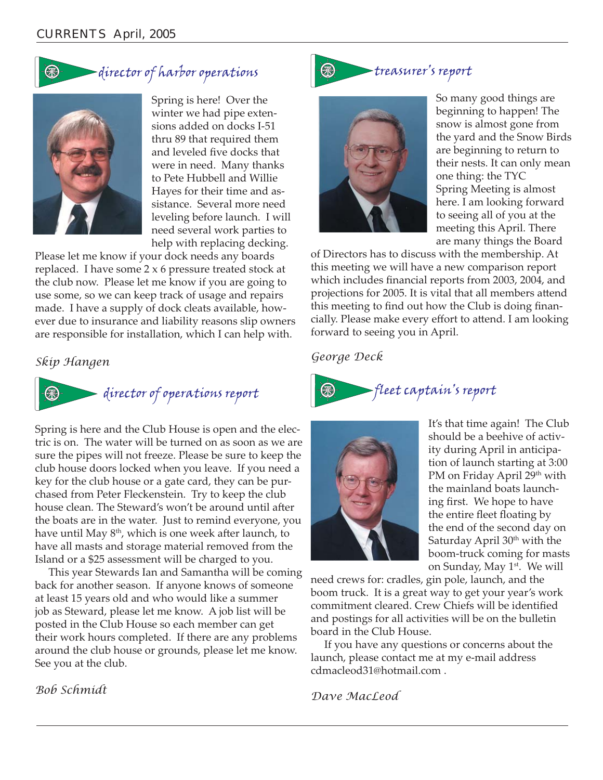### CURRENTS April, 2005



# director of harbor operations



Spring is here! Over the winter we had pipe extensions added on docks I-51 thru 89 that required them and leveled five docks that were in need. Many thanks to Pete Hubbell and Willie Hayes for their time and assistance. Several more need leveling before launch. I will need several work parties to help with replacing decking.

Please let me know if your dock needs any boards replaced. I have some  $2 \times 6$  pressure treated stock at the club now. Please let me know if you are going to use some, so we can keep track of usage and repairs made. I have a supply of dock cleats available, however due to insurance and liability reasons slip owners are responsible for installation, which I can help with.

### *Skip Hangen*



Spring is here and the Club House is open and the electric is on. The water will be turned on as soon as we are sure the pipes will not freeze. Please be sure to keep the club house doors locked when you leave. If you need a key for the club house or a gate card, they can be purchased from Peter Fleckenstein. Try to keep the club house clean. The Steward's won't be around until after the boats are in the water. Just to remind everyone, you have until May  $8<sup>th</sup>$ , which is one week after launch, to have all masts and storage material removed from the Island or a \$25 assessment will be charged to you.

 This year Stewards Ian and Samantha will be coming back for another season. If anyone knows of someone at least 15 years old and who would like a summer job as Steward, please let me know. A job list will be posted in the Club House so each member can get their work hours completed. If there are any problems around the club house or grounds, please let me know. See you at the club.

treasurer's report



So many good things are beginning to happen! The snow is almost gone from the yard and the Snow Birds are beginning to return to their nests. It can only mean one thing: the TYC Spring Meeting is almost here. I am looking forward to seeing all of you at the meeting this April. There are many things the Board

of Directors has to discuss with the membership. At this meeting we will have a new comparison report which includes financial reports from 2003, 2004, and projections for 2005. It is vital that all members attend this meeting to find out how the Club is doing financially. Please make every effort to attend. I am looking forward to seeing you in April.

*George Deck*





It's that time again! The Club should be a beehive of activity during April in anticipation of launch starting at 3:00 PM on Friday April 29<sup>th</sup> with the mainland boats launching first. We hope to have the entire fleet floating by the end of the second day on Saturday April 30<sup>th</sup> with the boom-truck coming for masts on Sunday, May 1<sup>st</sup>. We will

need crews for: cradles, gin pole, launch, and the boom truck. It is a great way to get your year's work commitment cleared. Crew Chiefs will be identified and postings for all activities will be on the bulletin board in the Club House.

 If you have any questions or concerns about the launch, please contact me at my e-mail address cdmacleod31@hotmail.com .

*Dave MacLeod*

*Bob Schmidt*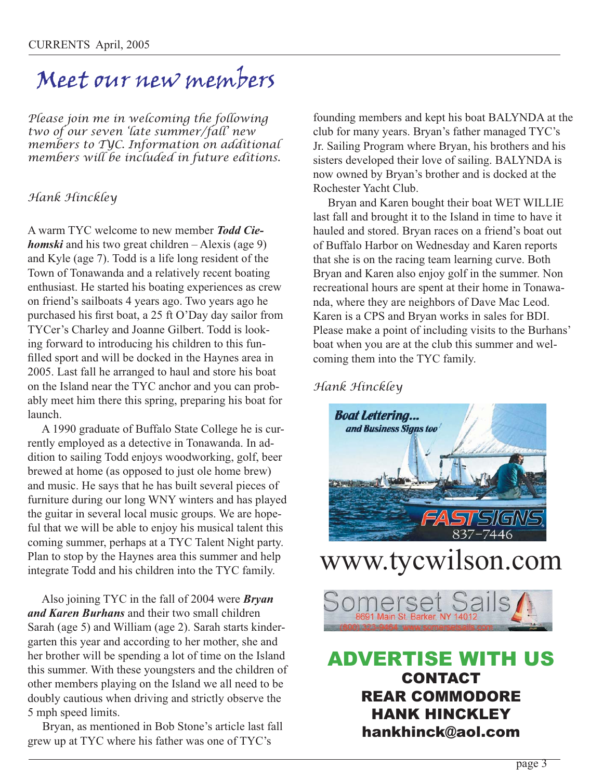# Meet our new members

*Please join me in welcoming the following two of our seven 'late summer/fall' new members to TYC. Information on additional members will be included in future editions.*

## *Hank Hinckley*

A warm TYC welcome to new member *Todd Ciehomski* and his two great children – Alexis (age 9) and Kyle (age 7). Todd is a life long resident of the Town of Tonawanda and a relatively recent boating enthusiast. He started his boating experiences as crew on friend's sailboats 4 years ago. Two years ago he purchased his first boat, a 25 ft O'Day day sailor from TYCer's Charley and Joanne Gilbert. Todd is looking forward to introducing his children to this funfilled sport and will be docked in the Haynes area in 2005. Last fall he arranged to haul and store his boat on the Island near the TYC anchor and you can probably meet him there this spring, preparing his boat for launch.

 A 1990 graduate of Buffalo State College he is currently employed as a detective in Tonawanda. In addition to sailing Todd enjoys woodworking, golf, beer brewed at home (as opposed to just ole home brew) and music. He says that he has built several pieces of furniture during our long WNY winters and has played the guitar in several local music groups. We are hopeful that we will be able to enjoy his musical talent this coming summer, perhaps at a TYC Talent Night party. Plan to stop by the Haynes area this summer and help integrate Todd and his children into the TYC family.

 Also joining TYC in the fall of 2004 were *Bryan and Karen Burhans* and their two small children Sarah (age 5) and William (age 2). Sarah starts kindergarten this year and according to her mother, she and her brother will be spending a lot of time on the Island this summer. With these youngsters and the children of other members playing on the Island we all need to be doubly cautious when driving and strictly observe the 5 mph speed limits.

 Bryan, as mentioned in Bob Stone's article last fall grew up at TYC where his father was one of TYC's

founding members and kept his boat BALYNDA at the club for many years. Bryan's father managed TYC's Jr. Sailing Program where Bryan, his brothers and his sisters developed their love of sailing. BALYNDA is now owned by Bryan's brother and is docked at the Rochester Yacht Club.

 Bryan and Karen bought their boat WET WILLIE last fall and brought it to the Island in time to have it hauled and stored. Bryan races on a friend's boat out of Buffalo Harbor on Wednesday and Karen reports that she is on the racing team learning curve. Both Bryan and Karen also enjoy golf in the summer. Non recreational hours are spent at their home in Tonawanda, where they are neighbors of Dave Mac Leod. Karen is a CPS and Bryan works in sales for BDI. Please make a point of including visits to the Burhans' boat when you are at the club this summer and welcoming them into the TYC family.

### *Hank Hinckley*



www.tycwilson.com



# ADVERTISE WITH US CONTACT REAR COMMODORE HANK HINCKLEY hankhinck@aol.com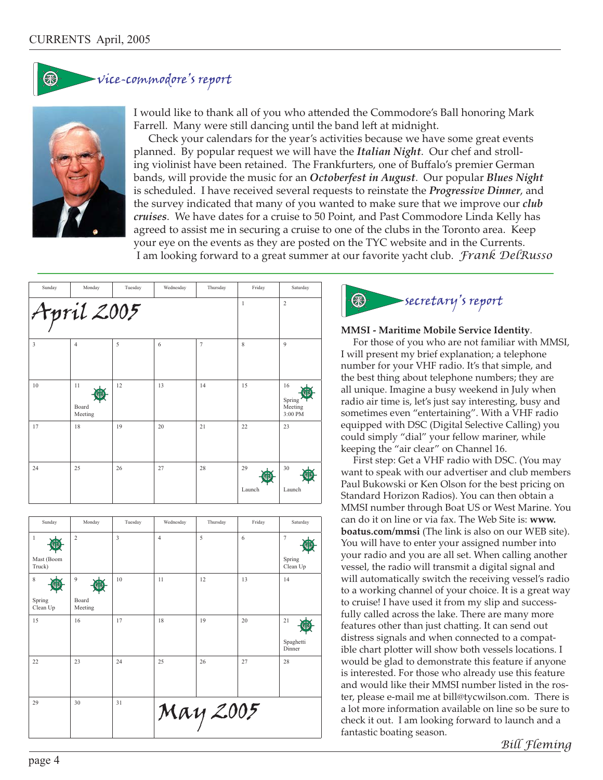# vice-commodore's report



I would like to thank all of you who attended the Commodore's Ball honoring Mark Farrell. Many were still dancing until the band left at midnight.

 Check your calendars for the year's activities because we have some great events planned. By popular request we will have the *Italian Night*. Our chef and strolling violinist have been retained. The Frankfurters, one of Buffalo's premier German bands, will provide the music for an *Octoberfest in August*. Our popular *Blues Night* is scheduled. I have received several requests to reinstate the *Progressive Dinner*, and the survey indicated that many of you wanted to make sure that we improve our *club cruises*. We have dates for a cruise to 50 Point, and Past Commodore Linda Kelly has agreed to assist me in securing a cruise to one of the clubs in the Toronto area. Keep your eye on the events as they are posted on the TYC website and in the Currents. I am looking forward to a great summer at our favorite yacht club. *Frank DelRusso*

| Sunday         | Monday                 | Tuesday | Wednesday | Thursday       | Friday       | Saturday                           |
|----------------|------------------------|---------|-----------|----------------|--------------|------------------------------------|
| April 2005     |                        |         |           |                | $\mathbf{1}$ | $\overline{c}$                     |
| $\overline{3}$ | $\overline{4}$         | 5       | 6         | $\overline{7}$ | 8            | $\overline{9}$                     |
| 10             | 11<br>Board<br>Meeting | 12      | 13        | 14             | 15           | 16<br>Spring<br>Meeting<br>3:00 PM |
| 17             | 18                     | 19      | 20        | 21             | 22           | 23                                 |
| 24             | 25                     | 26      | 27        | 28             | 29<br>Launch | 30<br>Launch                       |





#### **MMSI - Maritime Mobile Service Identity**.

 For those of you who are not familiar with MMSI, I will present my brief explanation; a telephone number for your VHF radio. It's that simple, and the best thing about telephone numbers; they are all unique. Imagine a busy weekend in July when radio air time is, let's just say interesting, busy and sometimes even "entertaining". With a VHF radio equipped with DSC (Digital Selective Calling) you could simply "dial" your fellow mariner, while keeping the "air clear" on Channel 16.

 First step: Get a VHF radio with DSC. (You may want to speak with our advertiser and club members Paul Bukowski or Ken Olson for the best pricing on Standard Horizon Radios). You can then obtain a MMSI number through Boat US or West Marine. You can do it on line or via fax. The Web Site is: **www. boatus.com/mmsi** (The link is also on our WEB site). You will have to enter your assigned number into your radio and you are all set. When calling another vessel, the radio will transmit a digital signal and will automatically switch the receiving vessel's radio to a working channel of your choice. It is a great way to cruise! I have used it from my slip and successfully called across the lake. There are many more features other than just chatting. It can send out distress signals and when connected to a compatible chart plotter will show both vessels locations. I would be glad to demonstrate this feature if anyone is interested. For those who already use this feature and would like their MMSI number listed in the roster, please e-mail me at bill@tycwilson.com. There is a lot more information available on line so be sure to check it out. I am looking forward to launch and a fantastic boating season.

*Bill Fleming*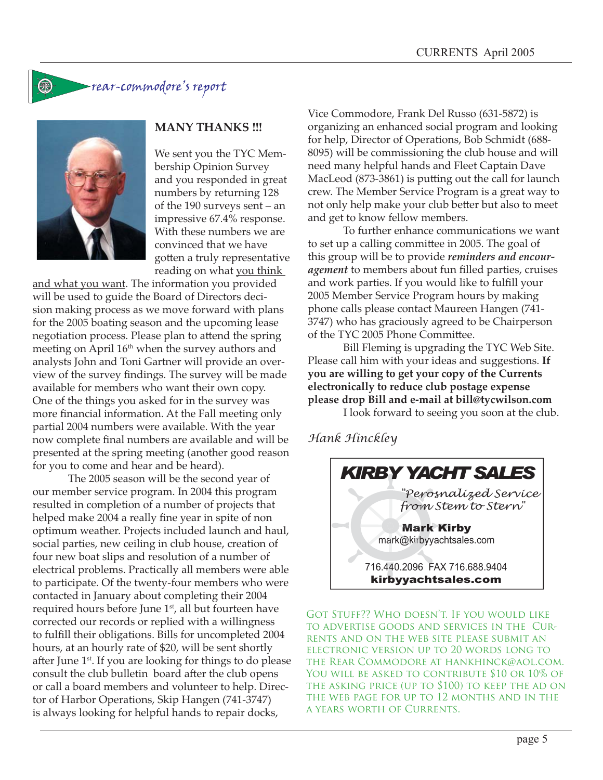rear-commodore's report



## **MANY THANKS !!!**

We sent you the TYC Membership Opinion Survey and you responded in great numbers by returning 128 of the 190 surveys sent – an impressive 67.4% response. With these numbers we are convinced that we have gotten a truly representative reading on what you think

and what you want. The information you provided will be used to guide the Board of Directors decision making process as we move forward with plans for the 2005 boating season and the upcoming lease negotiation process. Please plan to attend the spring meeting on April  $16<sup>th</sup>$  when the survey authors and analysts John and Toni Gartner will provide an overview of the survey findings. The survey will be made available for members who want their own copy. One of the things you asked for in the survey was more financial information. At the Fall meeting only partial 2004 numbers were available. With the year now complete final numbers are available and will be presented at the spring meeting (another good reason for you to come and hear and be heard).

 The 2005 season will be the second year of our member service program. In 2004 this program resulted in completion of a number of projects that helped make 2004 a really fine year in spite of non optimum weather. Projects included launch and haul, social parties, new ceiling in club house, creation of four new boat slips and resolution of a number of electrical problems. Practically all members were able to participate. Of the twenty-four members who were contacted in January about completing their 2004 required hours before June 1<sup>st</sup>, all but fourteen have corrected our records or replied with a willingness to fulfill their obligations. Bills for uncompleted 2004 hours, at an hourly rate of \$20, will be sent shortly after June  $1<sup>st</sup>$ . If you are looking for things to do please consult the club bulletin board after the club opens or call a board members and volunteer to help. Director of Harbor Operations, Skip Hangen (741-3747) is always looking for helpful hands to repair docks,

Vice Commodore, Frank Del Russo (631-5872) is organizing an enhanced social program and looking for help, Director of Operations, Bob Schmidt (688- 8095) will be commissioning the club house and will need many helpful hands and Fleet Captain Dave MacLeod (873-3861) is putting out the call for launch crew. The Member Service Program is a great way to not only help make your club better but also to meet and get to know fellow members.

 To further enhance communications we want to set up a calling committee in 2005. The goal of this group will be to provide *reminders and encouragement* to members about fun filled parties, cruises and work parties. If you would like to fulfill your 2005 Member Service Program hours by making phone calls please contact Maureen Hangen (741- 3747) who has graciously agreed to be Chairperson of the TYC 2005 Phone Committee.

 Bill Fleming is upgrading the TYC Web Site. Please call him with your ideas and suggestions. **If you are willing to get your copy of the Currents electronically to reduce club postage expense please drop Bill and e-mail at bill@tycwilson.com**

I look forward to seeing you soon at the club.

*Hank Hinckley*



Got Stuff?? Who doesn't. If you would like to advertise goods and services in the Currents and on the web site please submit an electronic version up to 20 words long to the Rear Commodore at hankhinck@aol.com. You will be asked to contribute \$10 or 10% of the asking price (up to \$100) to keep the ad on the web page for up to 12 months and in the a years worth of Currents.